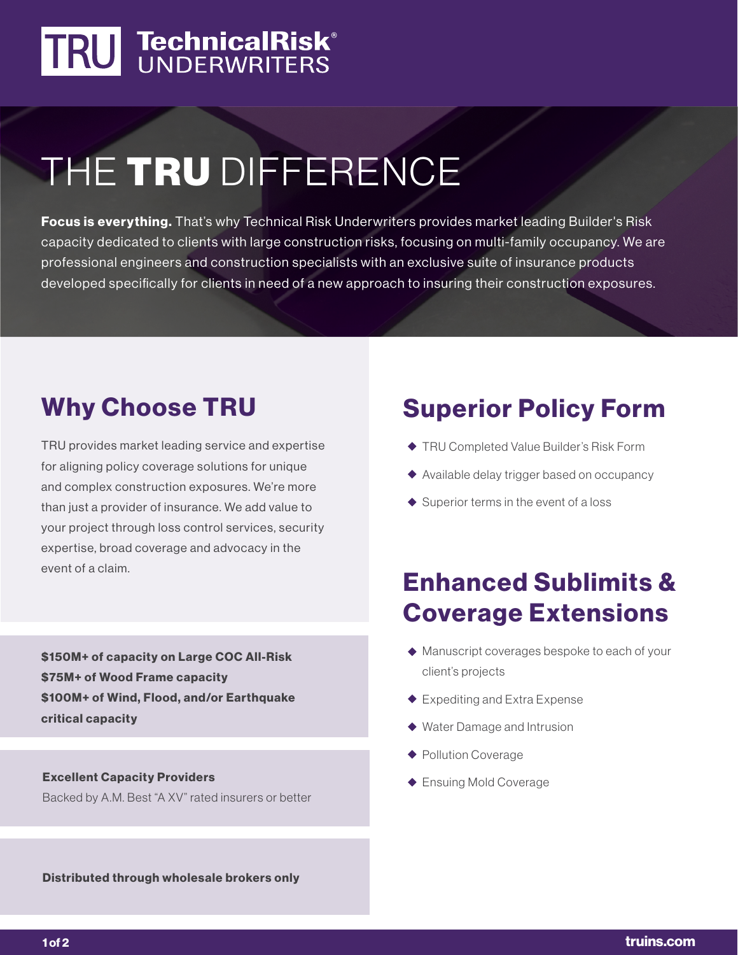# TRU TechnicalRisk®

## THE TRU DIFFERENCE

Focus is everything. That's why Technical Risk Underwriters provides market leading Builder's Risk capacity dedicated to clients with large construction risks, focusing on multi-family occupancy. We are professional engineers and construction specialists with an exclusive suite of insurance products developed specifically for clients in need of a new approach to insuring their construction exposures.

### Why Choose TRU

TRU provides market leading service and expertise for aligning policy coverage solutions for unique and complex construction exposures. We're more than just a provider of insurance. We add value to your project through loss control services, security expertise, broad coverage and advocacy in the event of a claim.

\$150M+ of capacity on Large COC All-Risk \$75M+ of Wood Frame capacity \$100M+ of Wind, Flood, and/or Earthquake critical capacity

**Excellent Capacity Providers** and the excellent Capacity Providers and the excellent of the Ensuing Mold Coverage Backed by A.M. Best "A XV" rated insurers or better

#### Distributed through wholesale brokers only

### Superior Policy Form

- ◆ TRU Completed Value Builder's Risk Form
- ◆ Available delay trigger based on occupancy
- $\blacklozenge$  Superior terms in the event of a loss

#### Enhanced Sublimits & Coverage Extensions

- ◆ Manuscript coverages bespoke to each of your client's projects
- ◆ Expediting and Extra Expense
- ◆ Water Damage and Intrusion
- ◆ Pollution Coverage
-